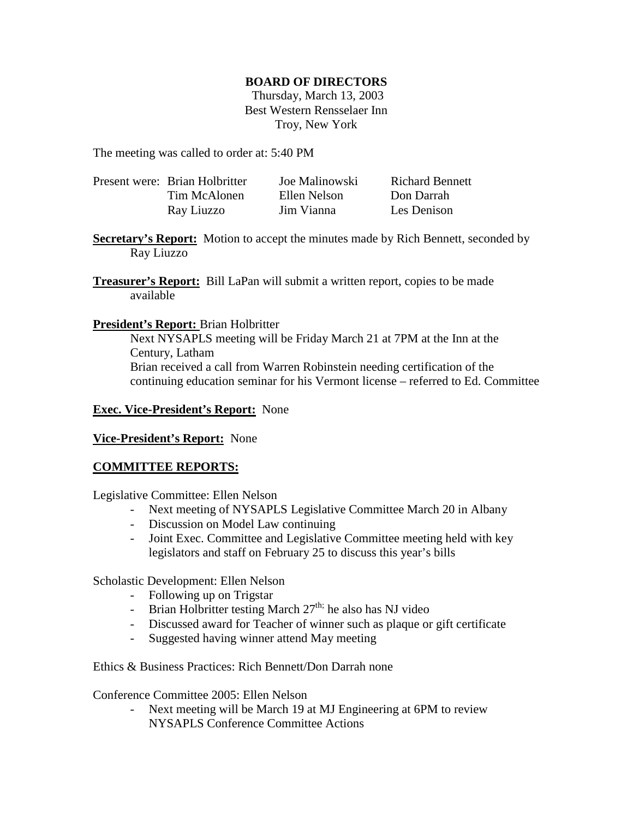## **BOARD OF DIRECTORS**

 Thursday, March 13, 2003 Best Western Rensselaer Inn Troy, New York

The meeting was called to order at: 5:40 PM

| Present were: Brian Holbritter | Joe Malinowski | <b>Richard Bennett</b> |
|--------------------------------|----------------|------------------------|
| Tim McAlonen                   | Ellen Nelson   | Don Darrah             |
| Ray Liuzzo                     | Jim Vianna     | Les Denison            |

**Secretary's Report:** Motion to accept the minutes made by Rich Bennett, seconded by Ray Liuzzo

**Treasurer's Report:** Bill LaPan will submit a written report, copies to be made available

### **President's Report:** Brian Holbritter

Next NYSAPLS meeting will be Friday March 21 at 7PM at the Inn at the Century, Latham Brian received a call from Warren Robinstein needing certification of the continuing education seminar for his Vermont license – referred to Ed. Committee

## **Exec. Vice-President's Report:** None

#### **Vice-President's Report:** None

# **COMMITTEE REPORTS:**

Legislative Committee: Ellen Nelson

- Next meeting of NYSAPLS Legislative Committee March 20 in Albany
- Discussion on Model Law continuing
- Joint Exec. Committee and Legislative Committee meeting held with key legislators and staff on February 25 to discuss this year's bills

Scholastic Development: Ellen Nelson

- Following up on Trigstar
- Brian Holbritter testing March  $27<sup>th</sup>$ ; he also has NJ video
- Discussed award for Teacher of winner such as plaque or gift certificate
- Suggested having winner attend May meeting

Ethics & Business Practices: Rich Bennett/Don Darrah none

Conference Committee 2005: Ellen Nelson

Next meeting will be March 19 at MJ Engineering at 6PM to review NYSAPLS Conference Committee Actions